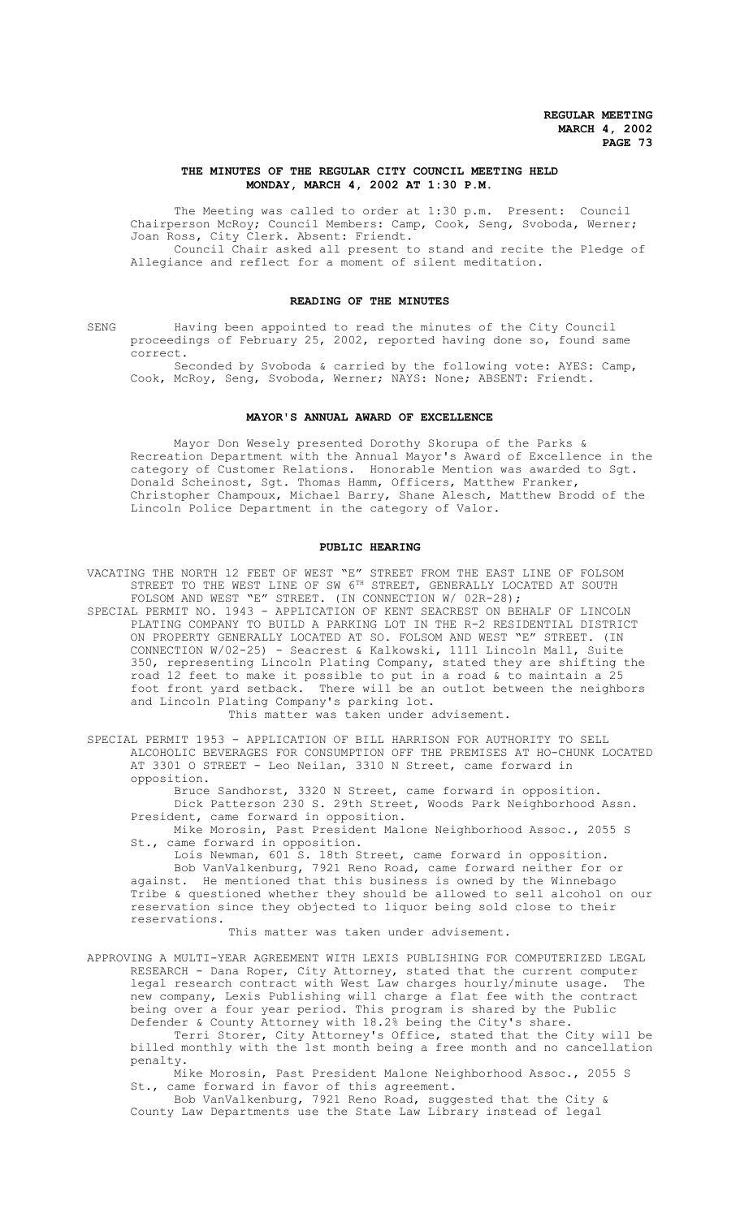## **THE MINUTES OF THE REGULAR CITY COUNCIL MEETING HELD MONDAY, MARCH 4, 2002 AT 1:30 P.M.**

The Meeting was called to order at 1:30 p.m. Present: Council Chairperson McRoy; Council Members: Camp, Cook, Seng, Svoboda, Werner; Joan Ross, City Clerk. Absent: Friendt. Council Chair asked all present to stand and recite the Pledge of

Allegiance and reflect for a moment of silent meditation.

# **READING OF THE MINUTES**

SENG Having been appointed to read the minutes of the City Council proceedings of February 25, 2002, reported having done so, found same correct.

Seconded by Svoboda & carried by the following vote: AYES: Camp, Cook, McRoy, Seng, Svoboda, Werner; NAYS: None; ABSENT: Friendt.

## **MAYOR'S ANNUAL AWARD OF EXCELLENCE**

Mayor Don Wesely presented Dorothy Skorupa of the Parks & Recreation Department with the Annual Mayor's Award of Excellence in the category of Customer Relations. Honorable Mention was awarded to Sgt. Donald Scheinost, Sgt. Thomas Hamm, Officers, Matthew Franker, Christopher Champoux, Michael Barry, Shane Alesch, Matthew Brodd of the Lincoln Police Department in the category of Valor.

#### **PUBLIC HEARING**

VACATING THE NORTH 12 FEET OF WEST "E" STREET FROM THE EAST LINE OF FOLSOM STREET TO THE WEST LINE OF SW 6TH STREET, GENERALLY LOCATED AT SOUTH FOLSOM AND WEST "E" STREET. (IN CONNECTION W/ 02R-28);

- SPECIAL PERMIT NO. 1943 APPLICATION OF KENT SEACREST ON BEHALF OF LINCOLN PLATING COMPANY TO BUILD A PARKING LOT IN THE R-2 RESIDENTIAL DISTRICT ON PROPERTY GENERALLY LOCATED AT SO. FOLSOM AND WEST "E" STREET. (IN CONNECTION W/02-25) - Seacrest & Kalkowski, 1111 Lincoln Mall, Suite 350, representing Lincoln Plating Company, stated they are shifting the road 12 feet to make it possible to put in a road & to maintain a 25 foot front yard setback. There will be an outlot between the neighbors and Lincoln Plating Company's parking lot. This matter was taken under advisement.
- SPECIAL PERMIT 1953 APPLICATION OF BILL HARRISON FOR AUTHORITY TO SELL ALCOHOLIC BEVERAGES FOR CONSUMPTION OFF THE PREMISES AT HO-CHUNK LOCATED AT 3301 O STREET - Leo Neilan, 3310 N Street, came forward in opposition.

Bruce Sandhorst, 3320 N Street, came forward in opposition. Dick Patterson 230 S. 29th Street, Woods Park Neighborhood Assn. President, came forward in opposition.

Mike Morosin, Past President Malone Neighborhood Assoc., 2055 S St., came forward in opposition.

Lois Newman, 601 S. 18th Street, came forward in opposition. Bob VanValkenburg, 7921 Reno Road, came forward neither for or against. He mentioned that this business is owned by the Winnebago Tribe & questioned whether they should be allowed to sell alcohol on our reservation since they objected to liquor being sold close to their reservations.

This matter was taken under advisement.

APPROVING A MULTI-YEAR AGREEMENT WITH LEXIS PUBLISHING FOR COMPUTERIZED LEGAL RESEARCH - Dana Roper, City Attorney, stated that the current computer legal research contract with West Law charges hourly/minute usage. The new company, Lexis Publishing will charge a flat fee with the contract being over a four year period. This program is shared by the Public Defender & County Attorney with 18.2% being the City's share.

Terri Storer, City Attorney's Office, stated that the City will be billed monthly with the 1st month being a free month and no cancellation penalty.

Mike Morosin, Past President Malone Neighborhood Assoc., 2055 S St., came forward in favor of this agreement.

Bob VanValkenburg, 7921 Reno Road, suggested that the City & County Law Departments use the State Law Library instead of legal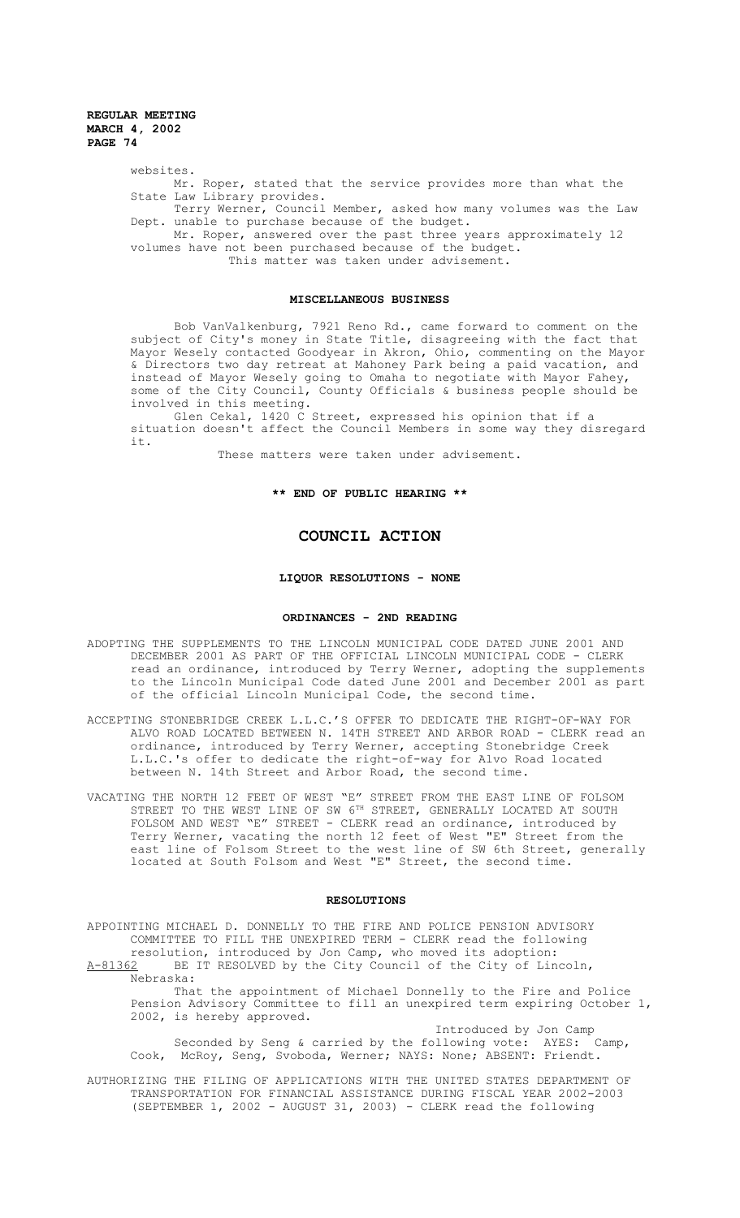websites.

Mr. Roper, stated that the service provides more than what the State Law Library provides.

Terry Werner, Council Member, asked how many volumes was the Law Dept. unable to purchase because of the budget.

Mr. Roper, answered over the past three years approximately 12 volumes have not been purchased because of the budget. This matter was taken under advisement.

### **MISCELLANEOUS BUSINESS**

Bob VanValkenburg, 7921 Reno Rd., came forward to comment on the subject of City's money in State Title, disagreeing with the fact that Mayor Wesely contacted Goodyear in Akron, Ohio, commenting on the Mayor & Directors two day retreat at Mahoney Park being a paid vacation, and instead of Mayor Wesely going to Omaha to negotiate with Mayor Fahey, some of the City Council, County Officials & business people should be involved in this meeting.

Glen Cekal, 1420 C Street, expressed his opinion that if a situation doesn't affect the Council Members in some way they disregard it.

These matters were taken under advisement.

## **\*\* END OF PUBLIC HEARING \*\***

# **COUNCIL ACTION**

### **LIQUOR RESOLUTIONS - NONE**

#### **ORDINANCES - 2ND READING**

- ADOPTING THE SUPPLEMENTS TO THE LINCOLN MUNICIPAL CODE DATED JUNE 2001 AND DECEMBER 2001 AS PART OF THE OFFICIAL LINCOLN MUNICIPAL CODE - CLERK read an ordinance, introduced by Terry Werner, adopting the supplements to the Lincoln Municipal Code dated June 2001 and December 2001 as part of the official Lincoln Municipal Code, the second time.
- ACCEPTING STONEBRIDGE CREEK L.L.C.'S OFFER TO DEDICATE THE RIGHT-OF-WAY FOR ALVO ROAD LOCATED BETWEEN N. 14TH STREET AND ARBOR ROAD - CLERK read an ordinance, introduced by Terry Werner, accepting Stonebridge Creek L.L.C.'s offer to dedicate the right-of-way for Alvo Road located between N. 14th Street and Arbor Road, the second time.
- VACATING THE NORTH 12 FEET OF WEST "E" STREET FROM THE EAST LINE OF FOLSOM NG THE NORTH IS FILL OF WILL IT STREET, GENERALLY LOCATED AT SOUTH STREET TO THE WEST LINE OF SW 6TH STREET, GENERALLY LOCATED AT SOUTH FOLSOM AND WEST "E" STREET - CLERK read an ordinance, introduced by Terry Werner, vacating the north 12 feet of West "E" Street from the east line of Folsom Street to the west line of SW 6th Street, generally located at South Folsom and West "E" Street, the second time.

## **RESOLUTIONS**

APPOINTING MICHAEL D. DONNELLY TO THE FIRE AND POLICE PENSION ADVISORY COMMITTEE TO FILL THE UNEXPIRED TERM - CLERK read the following resolution, introduced by Jon Camp, who moved its adoption:<br>A-81362 BE IT RESOLVED by the City Council of the City of Lin BE IT RESOLVED by the City Council of the City of Lincoln,

Nebraska:

That the appointment of Michael Donnelly to the Fire and Police Pension Advisory Committee to fill an unexpired term expiring October 1, 2002, is hereby approved.

Introduced by Jon Camp<br>Jllowing vote: AYES: Camp, Seconded by Seng & carried by the following vote: AYES: Camp, Cook, McRoy, Seng, Svoboda, Werner; NAYS: None; ABSENT: Friendt.

AUTHORIZING THE FILING OF APPLICATIONS WITH THE UNITED STATES DEPARTMENT OF TRANSPORTATION FOR FINANCIAL ASSISTANCE DURING FISCAL YEAR 2002-2003 (SEPTEMBER 1, 2002 - AUGUST 31, 2003) - CLERK read the following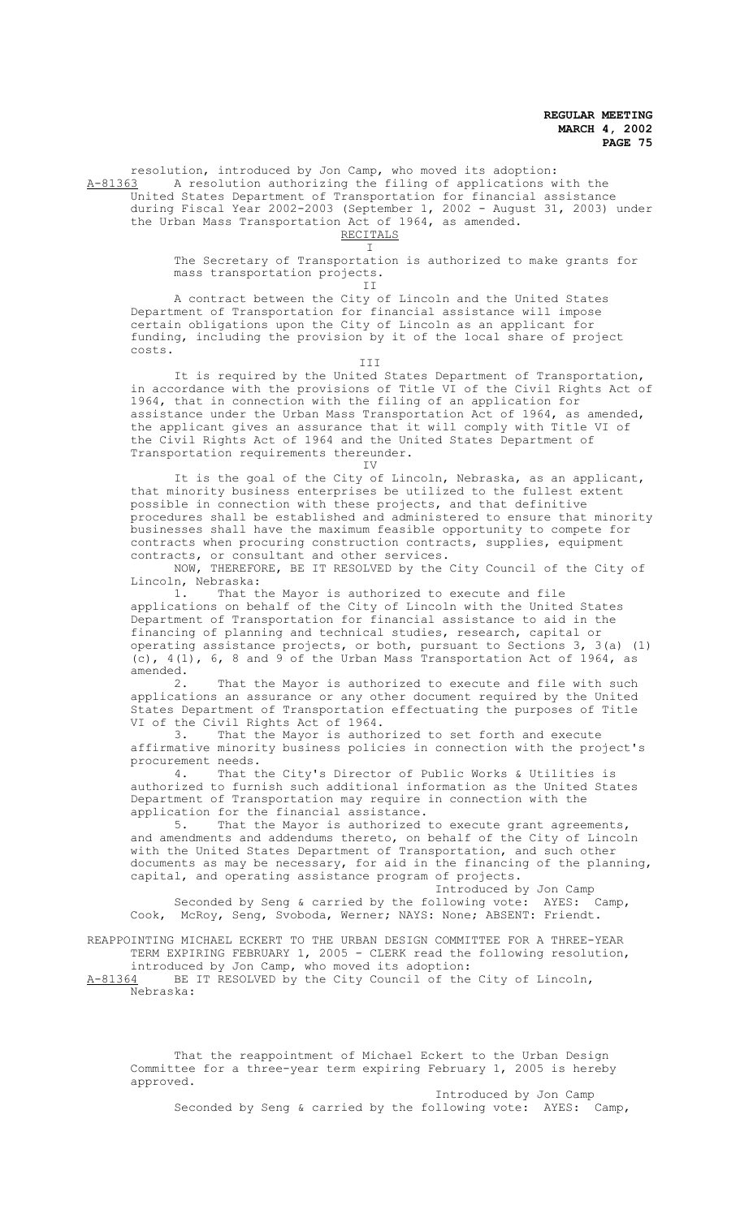resolution, introduced by Jon Camp, who moved its adoption: A-81363 A resolution authorizing the filing of applications with the United States Department of Transportation for financial assistance during Fiscal Year 2002-2003 (September 1, 2002 - August 31, 2003) under the Urban Mass Transportation Act of 1964, as amended.

RECITALS I

The Secretary of Transportation is authorized to make grants for mass transportation projects.

II

A contract between the City of Lincoln and the United States Department of Transportation for financial assistance will impose certain obligations upon the City of Lincoln as an applicant for funding, including the provision by it of the local share of project costs.

III

It is required by the United States Department of Transportation, in accordance with the provisions of Title VI of the Civil Rights Act of 1964, that in connection with the filing of an application for assistance under the Urban Mass Transportation Act of 1964, as amended, the applicant gives an assurance that it will comply with Title VI of the Civil Rights Act of 1964 and the United States Department of Transportation requirements thereunder.

IV

It is the goal of the City of Lincoln, Nebraska, as an applicant, that minority business enterprises be utilized to the fullest extent possible in connection with these projects, and that definitive procedures shall be established and administered to ensure that minority businesses shall have the maximum feasible opportunity to compete for contracts when procuring construction contracts, supplies, equipment contracts, or consultant and other services.

NOW, THEREFORE, BE IT RESOLVED by the City Council of the City of Lincoln, Nebraska:<br>1. That t

That the Mayor is authorized to execute and file applications on behalf of the City of Lincoln with the United States Department of Transportation for financial assistance to aid in the financing of planning and technical studies, research, capital or operating assistance projects, or both, pursuant to Sections 3, 3(a) (1) (c),  $4(1)$ , 6, 8 and 9 of the Urban Mass Transportation Act of 1964, as amended.

2. That the Mayor is authorized to execute and file with such applications an assurance or any other document required by the United States Department of Transportation effectuating the purposes of Title VI of the Civil Rights Act of 1964.<br>3. That the Mayor is autho

That the Mayor is authorized to set forth and execute affirmative minority business policies in connection with the project's

procurement needs.<br>4. That t That the City's Director of Public Works & Utilities is authorized to furnish such additional information as the United States Department of Transportation may require in connection with the

application for the financial assistance.<br>5. That the Mavor is authorized That the Mayor is authorized to execute grant agreements, and amendments and addendums thereto, on behalf of the City of Lincoln with the United States Department of Transportation, and such other documents as may be necessary, for aid in the financing of the planning, capital, and operating assistance program of projects.

Introduced by Jon Camp<br>bllowing vote: AYES: Camp. Seconded by Seng & carried by the following vote: AYES: Camp, Cook, McRoy, Seng, Svoboda, Werner; NAYS: None; ABSENT: Friendt.

REAPPOINTING MICHAEL ECKERT TO THE URBAN DESIGN COMMITTEE FOR A THREE-YEAR TERM EXPIRING FEBRUARY 1, 2005 - CLERK read the following resolution, introduced by Jon Camp, who moved its adoption:

A-81364 BE IT RESOLVED by the City Council of the City of Lincoln, Nebraska:

That the reappointment of Michael Eckert to the Urban Design Committee for a three-year term expiring February 1, 2005 is hereby approved.

Introduced by Jon Camp Seconded by Seng & carried by the following vote: AYES: Camp,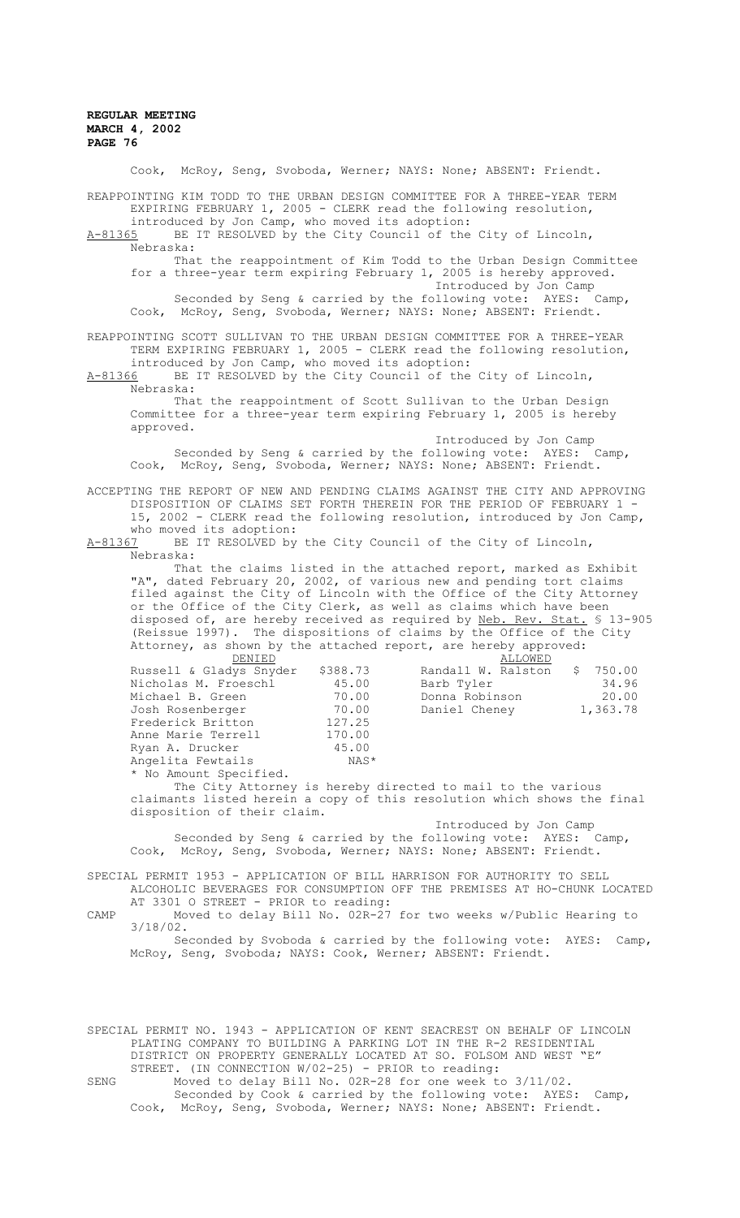Cook, McRoy, Seng, Svoboda, Werner; NAYS: None; ABSENT: Friendt. REAPPOINTING KIM TODD TO THE URBAN DESIGN COMMITTEE FOR A THREE-YEAR TERM EXPIRING FEBRUARY 1, 2005 - CLERK read the following resolution, introduced by Jon Camp, who moved its adoption: A-81365 BE IT RESOLVED by the City Council of the City of Lincoln, Nebraska: That the reappointment of Kim Todd to the Urban Design Committee for a three-year term expiring February 1, 2005 is hereby approved. Introduced by Jon Camp<br>Jllowing vote: AYES: Camp, Seconded by Seng & carried by the following vote: AYES: Cook, McRoy, Seng, Svoboda, Werner; NAYS: None; ABSENT: Friendt. REAPPOINTING SCOTT SULLIVAN TO THE URBAN DESIGN COMMITTEE FOR A THREE-YEAR TERM EXPIRING FEBRUARY 1, 2005 - CLERK read the following resolution, introduced by Jon Camp, who moved its adoption:<br>A-81366 BE IT RESOLVED by the City Council of the BE IT RESOLVED by the City Council of the City of Lincoln, Nebraska: That the reappointment of Scott Sullivan to the Urban Design Committee for a three-year term expiring February 1, 2005 is hereby approved. Introduced by Jon Camp<br>Jlowing vote: AYES: Camp, Seconded by Seng & carried by the following vote: AYES: Cook, McRoy, Seng, Svoboda, Werner; NAYS: None; ABSENT: Friendt. ACCEPTING THE REPORT OF NEW AND PENDING CLAIMS AGAINST THE CITY AND APPROVING DISPOSITION OF CLAIMS SET FORTH THEREIN FOR THE PERIOD OF FEBRUARY 1 - 15, 2002 - CLERK read the following resolution, introduced by Jon Camp, who moved its adoption:<br>A-81367 BE IT RESOLVED by BE IT RESOLVED by the City Council of the City of Lincoln, Nebraska: That the claims listed in the attached report, marked as Exhibit "A", dated February 20, 2002, of various new and pending tort claims filed against the City of Lincoln with the Office of the City Attorney or the Office of the City Clerk, as well as claims which have been disposed of, are hereby received as required by Neb. Rev. Stat. § 13-905 (Reissue 1997). The dispositions of claims by the Office of the City Attorney, as shown by the attached report, are hereby approved:<br>BENIED ALLOWED ALLOWED<br>\$388.73 Randall W. Ralston Russell & Gladys Snyder \$388.73 Randall W. Ralston \$ 750.00<br>Nicholas M. Froeschl 45.00 Barb Tyler 34.96 Nicholas M. Froeschl 45.00 Barb Tyler 34.96 Michael B. Green 70.00 Donna Robinson 20.00 Josh Rosenberger 70.00 Daniel Cheney 1,363.78 Frederick Britton 127.25<br>Anne Marie Terrell 170.00 Anne Marie Terrell 170.00<br>Ryan A. Drucker 15.00 Ryan A. Drucker Angelita Fewtails NAS\* \* No Amount Specified. The City Attorney is hereby directed to mail to the various claimants listed herein a copy of this resolution which shows the final disposition of their claim. Introduced by Jon Camp<br>bllowing vote: AYES: Camp. Seconded by Seng & carried by the following vote: AYES: Camp, Cook, McRoy, Seng, Svoboda, Werner; NAYS: None; ABSENT: Friendt. SPECIAL PERMIT 1953 - APPLICATION OF BILL HARRISON FOR AUTHORITY TO SELL ALCOHOLIC BEVERAGES FOR CONSUMPTION OFF THE PREMISES AT HO-CHUNK LOCATED AT 3301 O STREET - PRIOR to reading: CAMP Moved to delay Bill No. 02R-27 for two weeks w/Public Hearing to 3/18/02. Seconded by Svoboda & carried by the following vote: AYES: Camp, McRoy, Seng, Svoboda; NAYS: Cook, Werner; ABSENT: Friendt. SPECIAL PERMIT NO. 1943 - APPLICATION OF KENT SEACREST ON BEHALF OF LINCOLN PLATING COMPANY TO BUILDING A PARKING LOT IN THE R-2 RESIDENTIAL DISTRICT ON PROPERTY GENERALLY LOCATED AT SO. FOLSOM AND WEST "E" STREET. (IN CONNECTION W/02-25) - PRIOR to reading: SENG Moved to delay Bill No. 02R-28 for one week to 3/11/02. Seconded by Cook & carried by the following vote: AYES: Camp, Cook, McRoy, Seng, Svoboda, Werner; NAYS: None; ABSENT: Friendt.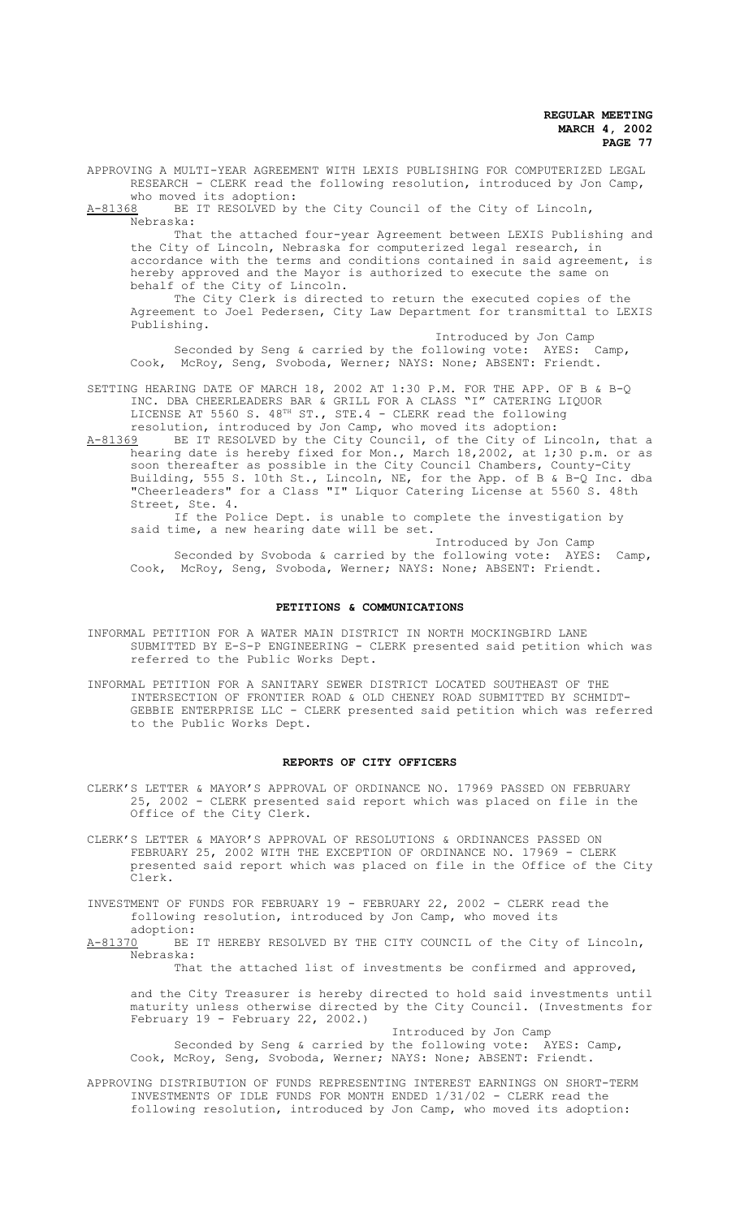APPROVING A MULTI-YEAR AGREEMENT WITH LEXIS PUBLISHING FOR COMPUTERIZED LEGAL RESEARCH - CLERK read the following resolution, introduced by Jon Camp, who moved its adoption:

A-81368 BE IT RESOLVED by the City Council of the City of Lincoln, Nebraska:

That the attached four-year Agreement between LEXIS Publishing and the City of Lincoln, Nebraska for computerized legal research, in accordance with the terms and conditions contained in said agreement, is hereby approved and the Mayor is authorized to execute the same on behalf of the City of Lincoln.

The City Clerk is directed to return the executed copies of the Agreement to Joel Pedersen, City Law Department for transmittal to LEXIS Publishing.

Introduced by Jon Camp<br>
bllowing vote: AYES: Camp, Seconded by Seng & carried by the following vote: AYES: Camp, Cook, McRoy, Seng, Svoboda, Werner; NAYS: None; ABSENT: Friendt.

- SETTING HEARING DATE OF MARCH 18, 2002 AT 1:30 P.M. FOR THE APP. OF B & B-Q INC. DBA CHEERLEADERS BAR & GRILL FOR A CLASS "I" CATERING LIQUOR LICENSE AT 5560 S.  $48^{TH}$  ST., STE.4 - CLERK read the following resolution, introduced by Jon Camp, who moved its adoption:
- A-81369 BE IT RESOLVED by the City Council, of the City of Lincoln, that a hearing date is hereby fixed for Mon., March 18,2002, at 1;30 p.m. or as soon thereafter as possible in the City Council Chambers, County-City Building, 555 S. 10th St., Lincoln, NE, for the App. of B & B-Q Inc. dba "Cheerleaders" for a Class "I" Liquor Catering License at 5560 S. 48th Street, Ste. 4.

If the Police Dept. is unable to complete the investigation by said time, a new hearing date will be set.

Introduced by Jon Camp Seconded by Svoboda & carried by the following vote: AYES: Camp, Cook, McRoy, Seng, Svoboda, Werner; NAYS: None; ABSENT: Friendt.

### **PETITIONS & COMMUNICATIONS**

INFORMAL PETITION FOR A WATER MAIN DISTRICT IN NORTH MOCKINGBIRD LANE SUBMITTED BY E-S-P ENGINEERING - CLERK presented said petition which was referred to the Public Works Dept.

INFORMAL PETITION FOR A SANITARY SEWER DISTRICT LOCATED SOUTHEAST OF THE INTERSECTION OF FRONTIER ROAD & OLD CHENEY ROAD SUBMITTED BY SCHMIDT-GEBBIE ENTERPRISE LLC - CLERK presented said petition which was referred to the Public Works Dept.

### **REPORTS OF CITY OFFICERS**

- CLERK'S LETTER & MAYOR'S APPROVAL OF ORDINANCE NO. 17969 PASSED ON FEBRUARY 25, 2002 - CLERK presented said report which was placed on file in the Office of the City Clerk.
- CLERK'S LETTER & MAYOR'S APPROVAL OF RESOLUTIONS & ORDINANCES PASSED ON FEBRUARY 25, 2002 WITH THE EXCEPTION OF ORDINANCE NO. 17969 - CLERK presented said report which was placed on file in the Office of the City Clerk.

INVESTMENT OF FUNDS FOR FEBRUARY 19 - FEBRUARY 22, 2002 - CLERK read the following resolution, introduced by Jon Camp, who moved its

adoption:<br>A-81370 BE BE IT HEREBY RESOLVED BY THE CITY COUNCIL of the City of Lincoln, Nebraska:

That the attached list of investments be confirmed and approved,

and the City Treasurer is hereby directed to hold said investments until maturity unless otherwise directed by the City Council. (Investments for February 19 - February 22, 2002.)

Introduced by Jon Camp Seconded by Seng & carried by the following vote: AYES: Camp, Cook, McRoy, Seng, Svoboda, Werner; NAYS: None; ABSENT: Friendt.

APPROVING DISTRIBUTION OF FUNDS REPRESENTING INTEREST EARNINGS ON SHORT-TERM INVESTMENTS OF IDLE FUNDS FOR MONTH ENDED 1/31/02 - CLERK read the following resolution, introduced by Jon Camp, who moved its adoption: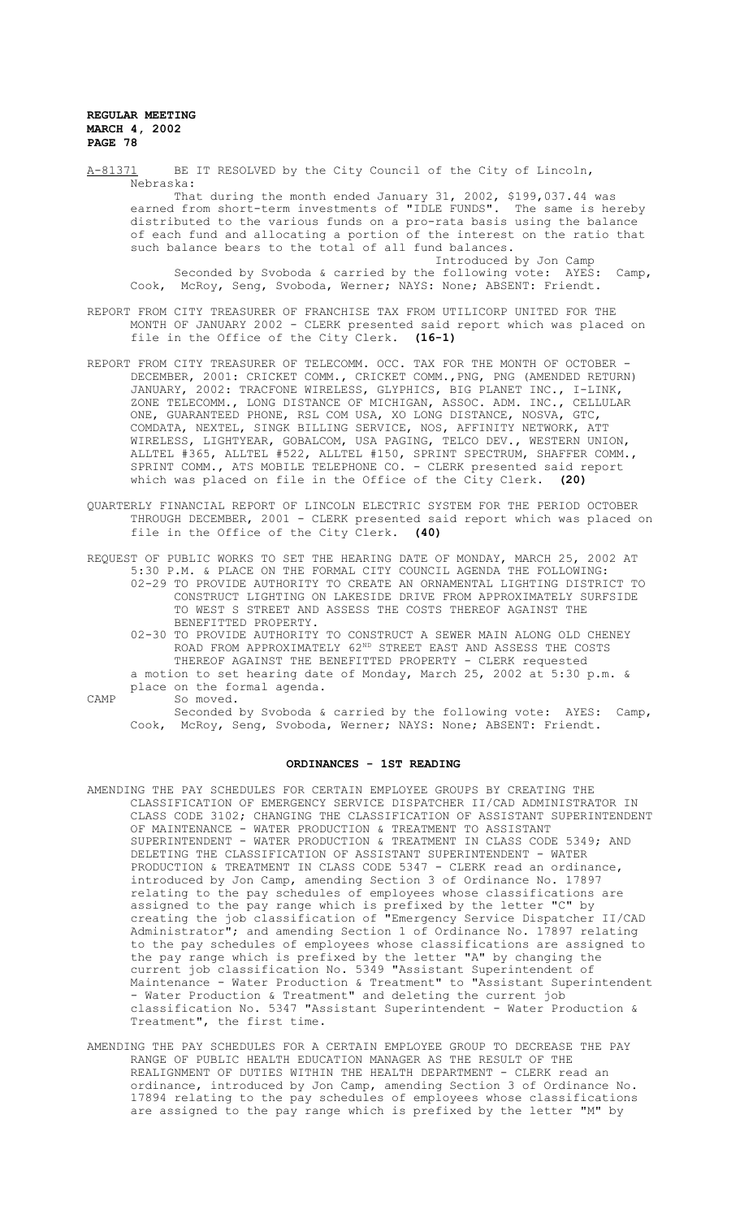A-81371 BE IT RESOLVED by the City Council of the City of Lincoln, Nebraska: That during the month ended January 31, 2002, \$199,037.44 was earned from short-term investments of "IDLE FUNDS". The same is hereby distributed to the various funds on a pro-rata basis using the balance of each fund and allocating a portion of the interest on the ratio that such balance bears to the total of all fund balances. Introduced by Jon Camp Seconded by Svoboda & carried by the following vote: AYES: Camp, Cook, McRoy, Seng, Svoboda, Werner; NAYS: None; ABSENT: Friendt. REPORT FROM CITY TREASURER OF FRANCHISE TAX FROM UTILICORP UNITED FOR THE MONTH OF JANUARY 2002 - CLERK presented said report which was placed on file in the Office of the City Clerk. **(16-1)** REPORT FROM CITY TREASURER OF TELECOMM. OCC. TAX FOR THE MONTH OF OCTOBER - DECEMBER, 2001: CRICKET COMM., CRICKET COMM.,PNG, PNG (AMENDED RETURN) JANUARY, 2002: TRACFONE WIRELESS, GLYPHICS, BIG PLANET INC., I-LINK, ZONE TELECOMM., LONG DISTANCE OF MICHIGAN, ASSOC. ADM. INC., CELLULAR ONE, GUARANTEED PHONE, RSL COM USA, XO LONG DISTANCE, NOSVA, GTC,

- COMDATA, NEXTEL, SINGK BILLING SERVICE, NOS, AFFINITY NETWORK, ATT WIRELESS, LIGHTYEAR, GOBALCOM, USA PAGING, TELCO DEV., WESTERN UNION, ALLTEL #365, ALLTEL #522, ALLTEL #150, SPRINT SPECTRUM, SHAFFER COMM., SPRINT COMM., ATS MOBILE TELEPHONE CO. - CLERK presented said report which was placed on file in the Office of the City Clerk. **(20)**
- QUARTERLY FINANCIAL REPORT OF LINCOLN ELECTRIC SYSTEM FOR THE PERIOD OCTOBER THROUGH DECEMBER, 2001 - CLERK presented said report which was placed on file in the Office of the City Clerk. **(40)**

REQUEST OF PUBLIC WORKS TO SET THE HEARING DATE OF MONDAY, MARCH 25, 2002 AT 5:30 P.M. & PLACE ON THE FORMAL CITY COUNCIL AGENDA THE FOLLOWING:

- 02-29 TO PROVIDE AUTHORITY TO CREATE AN ORNAMENTAL LIGHTING DISTRICT TO CONSTRUCT LIGHTING ON LAKESIDE DRIVE FROM APPROXIMATELY SURFSIDE TO WEST S STREET AND ASSESS THE COSTS THEREOF AGAINST THE BENEFITTED PROPERTY.
	- 02-30 TO PROVIDE AUTHORITY TO CONSTRUCT A SEWER MAIN ALONG OLD CHENEY ROAD FROM APPROXIMATELY  $62^{\text{ND}}$  STREET EAST AND ASSESS THE COSTS THEREOF AGAINST THE BENEFITTED PROPERTY - CLERK requested a motion to set hearing date of Monday, March 25, 2002 at 5:30 p.m. &
- place on the formal agenda. CAMP So moved.
	- So moved.<br>Seconded by Svoboda & carried by the following vote: AYES: Camp, Cook, McRoy, Seng, Svoboda, Werner; NAYS: None; ABSENT: Friendt.

# **ORDINANCES - 1ST READING**

- AMENDING THE PAY SCHEDULES FOR CERTAIN EMPLOYEE GROUPS BY CREATING THE CLASSIFICATION OF EMERGENCY SERVICE DISPATCHER II/CAD ADMINISTRATOR IN CLASS CODE 3102; CHANGING THE CLASSIFICATION OF ASSISTANT SUPERINTENDENT OF MAINTENANCE - WATER PRODUCTION & TREATMENT TO ASSISTANT SUPERINTENDENT - WATER PRODUCTION & TREATMENT IN CLASS CODE 5349; AND DELETING THE CLASSIFICATION OF ASSISTANT SUPERINTENDENT - WATER PRODUCTION & TREATMENT IN CLASS CODE 5347 - CLERK read an ordinance, introduced by Jon Camp, amending Section 3 of Ordinance No. 17897 relating to the pay schedules of employees whose classifications are assigned to the pay range which is prefixed by the letter "C" by creating the job classification of "Emergency Service Dispatcher II/CAD Administrator"; and amending Section 1 of Ordinance No. 17897 relating to the pay schedules of employees whose classifications are assigned to the pay range which is prefixed by the letter "A" by changing the current job classification No. 5349 "Assistant Superintendent of Maintenance - Water Production & Treatment" to "Assistant Superintendent - Water Production & Treatment" and deleting the current job classification No. 5347 "Assistant Superintendent - Water Production & Treatment", the first time.
- AMENDING THE PAY SCHEDULES FOR A CERTAIN EMPLOYEE GROUP TO DECREASE THE PAY RANGE OF PUBLIC HEALTH EDUCATION MANAGER AS THE RESULT OF THE REALIGNMENT OF DUTIES WITHIN THE HEALTH DEPARTMENT - CLERK read an ordinance, introduced by Jon Camp, amending Section 3 of Ordinance No. 17894 relating to the pay schedules of employees whose classifications are assigned to the pay range which is prefixed by the letter "M" by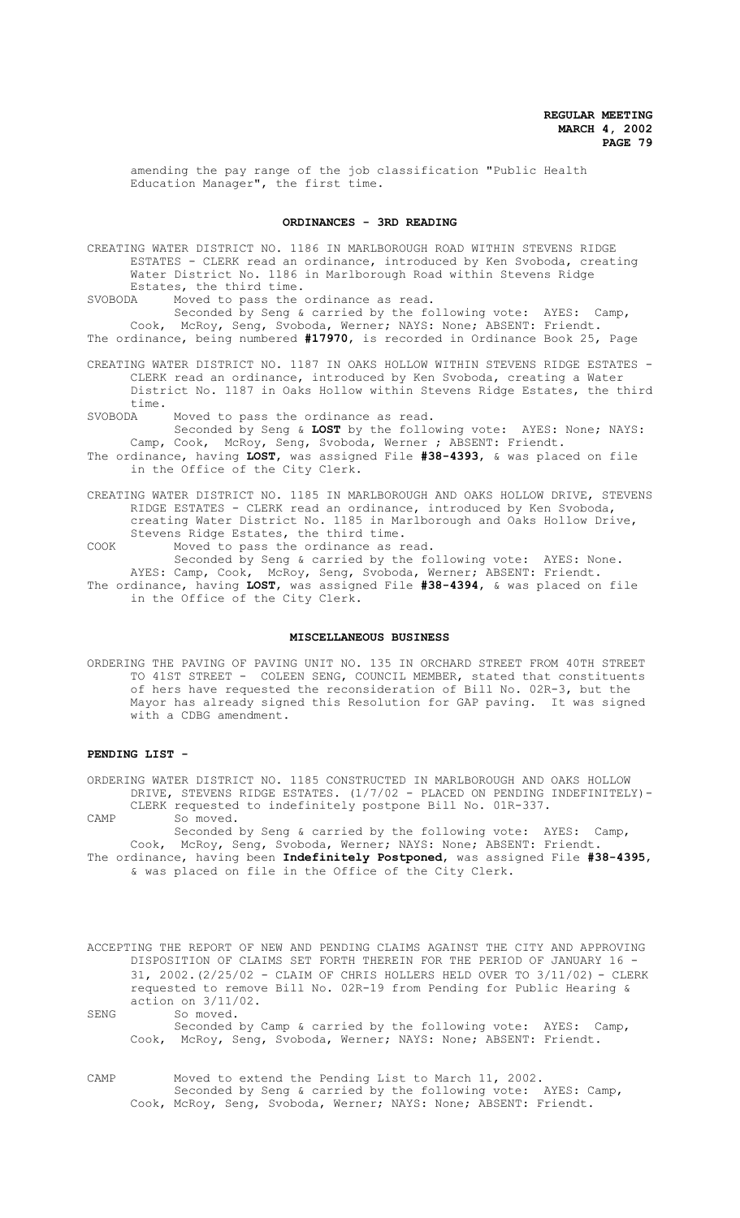amending the pay range of the job classification "Public Health Education Manager", the first time.

## **ORDINANCES - 3RD READING**

CREATING WATER DISTRICT NO. 1186 IN MARLBOROUGH ROAD WITHIN STEVENS RIDGE ESTATES - CLERK read an ordinance, introduced by Ken Svoboda, creating Water District No. 1186 in Marlborough Road within Stevens Ridge Estates, the third time.<br>SVOBODA Moved to pass the

Moved to pass the ordinance as read.

Seconded by Seng & carried by the following vote: AYES: Camp, Cook, McRoy, Seng, Svoboda, Werner; NAYS: None; ABSENT: Friendt. The ordinance, being numbered **#17970**, is recorded in Ordinance Book 25, Page

CREATING WATER DISTRICT NO. 1187 IN OAKS HOLLOW WITHIN STEVENS RIDGE ESTATES - CLERK read an ordinance, introduced by Ken Svoboda, creating a Water District No. 1187 in Oaks Hollow within Stevens Ridge Estates, the third time.<br>SVORODA

Moved to pass the ordinance as read.

Seconded by Seng & **LOST** by the following vote: AYES: None; NAYS: Camp, Cook, McRoy, Seng, Svoboda, Werner ; ABSENT: Friendt. The ordinance, having **LOST**, was assigned File **#38-4393**, & was placed on file in the Office of the City Clerk.

CREATING WATER DISTRICT NO. 1185 IN MARLBOROUGH AND OAKS HOLLOW DRIVE, STEVENS RIDGE ESTATES - CLERK read an ordinance, introduced by Ken Svoboda, creating Water District No. 1185 in Marlborough and Oaks Hollow Drive, Stevens Ridge Estates, the third time.

COOK Moved to pass the ordinance as read. Seconded by Seng & carried by the following vote: AYES: None.

AYES: Camp, Cook, McRoy, Seng, Svoboda, Werner; ABSENT: Friendt. The ordinance, having **LOST**, was assigned File **#38-4394**, & was placed on file in the Office of the City Clerk.

## **MISCELLANEOUS BUSINESS**

ORDERING THE PAVING OF PAVING UNIT NO. 135 IN ORCHARD STREET FROM 40TH STREET TO 41ST STREET - COLEEN SENG, COUNCIL MEMBER, stated that constituents of hers have requested the reconsideration of Bill No. 02R-3, but the Mayor has already signed this Resolution for GAP paving. It was signed with a CDBG amendment.

### **PENDING LIST -**

ORDERING WATER DISTRICT NO. 1185 CONSTRUCTED IN MARLBOROUGH AND OAKS HOLLOW DRIVE, STEVENS RIDGE ESTATES. (1/7/02 - PLACED ON PENDING INDEFINITELY)- CLERK requested to indefinitely postpone Bill No. 01R-337. CAMP So moved.

Seconded by Seng & carried by the following vote: AYES: Camp, Cook, McRoy, Seng, Svoboda, Werner; NAYS: None; ABSENT: Friendt. The ordinance, having been **Indefinitely Postponed**, was assigned File **#38-4395**, & was placed on file in the Office of the City Clerk.

ACCEPTING THE REPORT OF NEW AND PENDING CLAIMS AGAINST THE CITY AND APPROVING DISPOSITION OF CLAIMS SET FORTH THEREIN FOR THE PERIOD OF JANUARY 16 - 31, 2002.(2/25/02 - CLAIM OF CHRIS HOLLERS HELD OVER TO 3/11/02) - CLERK requested to remove Bill No. 02R-19 from Pending for Public Hearing & action on 3/11/02.

SENG So moved. Seconded by Camp & carried by the following vote: AYES: Camp, Cook, McRoy, Seng, Svoboda, Werner; NAYS: None; ABSENT: Friendt.

CAMP Moved to extend the Pending List to March 11, 2002. Seconded by Seng & carried by the following vote: AYES: Camp, Cook, McRoy, Seng, Svoboda, Werner; NAYS: None; ABSENT: Friendt.